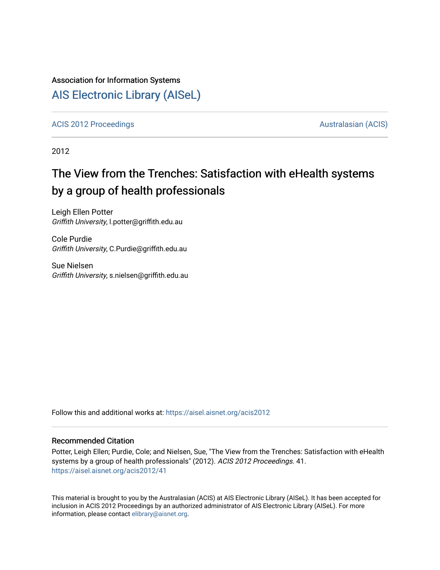## Association for Information Systems

## [AIS Electronic Library \(AISeL\)](https://aisel.aisnet.org/)

[ACIS 2012 Proceedings](https://aisel.aisnet.org/acis2012) **AUSTRALIA CIS** Australasian (ACIS)

2012

# The View from the Trenches: Satisfaction with eHealth systems by a group of health professionals

Leigh Ellen Potter Griffith University, l.potter@griffith.edu.au

Cole Purdie Griffith University, C.Purdie@griffith.edu.au

Sue Nielsen Griffith University, s.nielsen@griffith.edu.au

Follow this and additional works at: [https://aisel.aisnet.org/acis2012](https://aisel.aisnet.org/acis2012?utm_source=aisel.aisnet.org%2Facis2012%2F41&utm_medium=PDF&utm_campaign=PDFCoverPages) 

#### Recommended Citation

Potter, Leigh Ellen; Purdie, Cole; and Nielsen, Sue, "The View from the Trenches: Satisfaction with eHealth systems by a group of health professionals" (2012). ACIS 2012 Proceedings. 41. [https://aisel.aisnet.org/acis2012/41](https://aisel.aisnet.org/acis2012/41?utm_source=aisel.aisnet.org%2Facis2012%2F41&utm_medium=PDF&utm_campaign=PDFCoverPages)

This material is brought to you by the Australasian (ACIS) at AIS Electronic Library (AISeL). It has been accepted for inclusion in ACIS 2012 Proceedings by an authorized administrator of AIS Electronic Library (AISeL). For more information, please contact [elibrary@aisnet.org.](mailto:elibrary@aisnet.org%3E)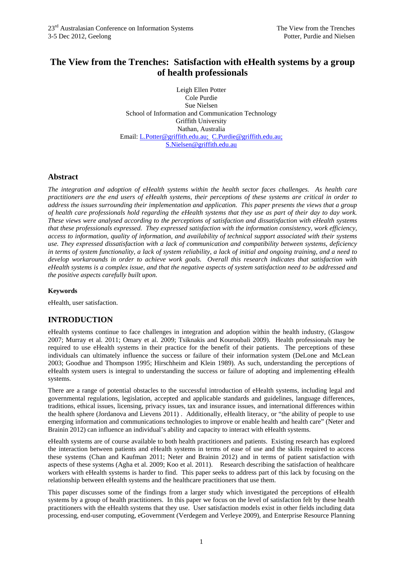## **The View from the Trenches: Satisfaction with eHealth systems by a group of health professionals**

Leigh Ellen Potter Cole Purdie Sue Nielsen School of Information and Communication Technology Griffith University Nathan, Australia Email: L.Potter@griffith.edu.au; C.Purdie@griffith.edu.au; S.Nielsen@griffith.edu.au

#### **Abstract**

*The integration and adoption of eHealth systems within the health sector faces challenges. As health care practitioners are the end users of eHealth systems, their perceptions of these systems are critical in order to address the issues surrounding their implementation and application. This paper presents the views that a group of health care professionals hold regarding the eHealth systems that they use as part of their day to day work. These views were analysed according to the perceptions of satisfaction and dissatisfaction with eHealth systems that these professionals expressed. They expressed satisfaction with the information consistency, work efficiency, access to information, quality of information, and availability of technical support associated with their systems use. They expressed dissatisfaction with a lack of communication and compatibility between systems, deficiency in terms of system functionality, a lack of system reliability, a lack of initial and ongoing training, and a need to develop workarounds in order to achieve work goals. Overall this research indicates that satisfaction with eHealth systems is a complex issue, and that the negative aspects of system satisfaction need to be addressed and the positive aspects carefully built upon.* 

#### **Keywords**

eHealth, user satisfaction.

## **INTRODUCTION**

eHealth systems continue to face challenges in integration and adoption within the health industry, (Glasgow 2007; Murray et al. 2011; Omary et al. 2009; Tsiknakis and Kouroubali 2009). Health professionals may be required to use eHealth systems in their practice for the benefit of their patients. The perceptions of these individuals can ultimately influence the success or failure of their information system (DeLone and McLean 2003; Goodhue and Thompson 1995; Hirschheim and Klein 1989). As such, understanding the perceptions of eHealth system users is integral to understanding the success or failure of adopting and implementing eHealth systems.

There are a range of potential obstacles to the successful introduction of eHealth systems, including legal and governmental regulations, legislation, accepted and applicable standards and guidelines, language differences, traditions, ethical issues, licensing, privacy issues, tax and insurance issues, and international differences within the health sphere (Jordanova and Lievens 2011) . Additionally, eHealth literacy, or "the ability of people to use emerging information and communications technologies to improve or enable health and health care" (Neter and Brainin 2012) can influence an individual's ability and capacity to interact with eHealth systems.

eHealth systems are of course available to both health practitioners and patients. Existing research has explored the interaction between patients and eHealth systems in terms of ease of use and the skills required to access these systems (Chan and Kaufman 2011; Neter and Brainin 2012) and in terms of patient satisfaction with aspects of these systems (Agha et al. 2009; Koo et al. 2011). Research describing the satisfaction of healthcare workers with eHealth systems is harder to find. This paper seeks to address part of this lack by focusing on the relationship between eHealth systems and the healthcare practitioners that use them.

This paper discusses some of the findings from a larger study which investigated the perceptions of eHealth systems by a group of health practitioners. In this paper we focus on the level of satisfaction felt by these health practitioners with the eHealth systems that they use. User satisfaction models exist in other fields including data processing, end-user computing, eGovernment (Verdegem and Verleye 2009), and Enterprise Resource Planning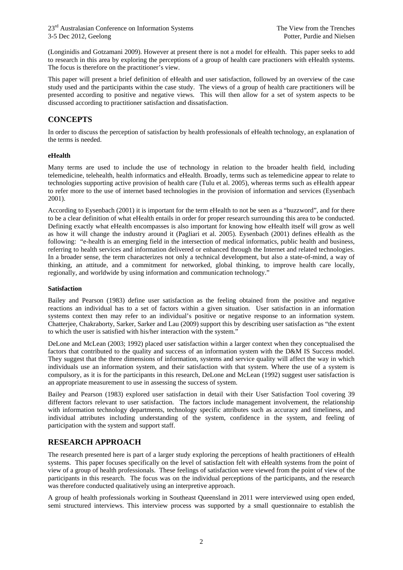(Longinidis and Gotzamani 2009). However at present there is not a model for eHealth. This paper seeks to add to research in this area by exploring the perceptions of a group of health care practioners with eHealth systems. The focus is therefore on the practitioner's view.

This paper will present a brief definition of eHealth and user satisfaction, followed by an overview of the case study used and the participants within the case study. The views of a group of health care practitioners will be presented according to positive and negative views. This will then allow for a set of system aspects to be discussed according to practitioner satisfaction and dissatisfaction.

## **CONCEPTS**

In order to discuss the perception of satisfaction by health professionals of eHealth technology, an explanation of the terms is needed.

#### **eHealth**

Many terms are used to include the use of technology in relation to the broader health field, including telemedicine, telehealth, health informatics and eHealth. Broadly, terms such as telemedicine appear to relate to technologies supporting active provision of health care (Tulu et al. 2005), whereas terms such as eHealth appear to refer more to the use of internet based technologies in the provision of information and services (Eysenbach 2001).

According to Eysenbach (2001) it is important for the term eHealth to not be seen as a "buzzword", and for there to be a clear definition of what eHealth entails in order for proper research surrounding this area to be conducted. Defining exactly what eHealth encompasses is also important for knowing how eHealth itself will grow as well as how it will change the industry around it (Pagliari et al. 2005). Eysenbach (2001) defines eHealth as the following: "e-health is an emerging field in the intersection of medical informatics, public health and business, referring to health services and information delivered or enhanced through the Internet and related technologies. In a broader sense, the term characterizes not only a technical development, but also a state-of-mind, a way of thinking, an attitude, and a commitment for networked, global thinking, to improve health care locally, regionally, and worldwide by using information and communication technology."

#### **Satisfaction**

Bailey and Pearson (1983) define user satisfaction as the feeling obtained from the positive and negative reactions an individual has to a set of factors within a given situation. User satisfaction in an information systems context then may refer to an individual's positive or negative response to an information system. Chatterjee, Chakraborty, Sarker, Sarker and Lau (2009) support this by describing user satisfaction as "the extent to which the user is satisfied with his/her interaction with the system."

DeLone and McLean (2003; 1992) placed user satisfaction within a larger context when they conceptualised the factors that contributed to the quality and success of an information system with the D&M IS Success model. They suggest that the three dimensions of information, systems and service quality will affect the way in which individuals use an information system, and their satisfaction with that system. Where the use of a system is compulsory, as it is for the participants in this research, DeLone and McLean (1992) suggest user satisfaction is an appropriate measurement to use in assessing the success of system.

Bailey and Pearson (1983) explored user satisfaction in detail with their User Satisfaction Tool covering 39 different factors relevant to user satisfaction. The factors include management involvement, the relationship with information technology departments, technology specific attributes such as accuracy and timeliness, and individual attributes including understanding of the system, confidence in the system, and feeling of participation with the system and support staff.

## **RESEARCH APPROACH**

The research presented here is part of a larger study exploring the perceptions of health practitioners of eHealth systems. This paper focuses specifically on the level of satisfaction felt with eHealth systems from the point of view of a group of health professionals. These feelings of satisfaction were viewed from the point of view of the participants in this research. The focus was on the individual perceptions of the participants, and the research was therefore conducted qualitatively using an interpretive approach.

A group of health professionals working in Southeast Queensland in 2011 were interviewed using open ended, semi structured interviews. This interview process was supported by a small questionnaire to establish the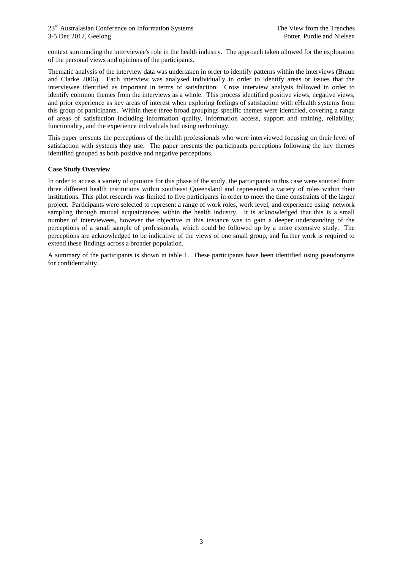context surrounding the interviewee's role in the health industry. The approach taken allowed for the exploration of the personal views and opinions of the participants.

Thematic analysis of the interview data was undertaken in order to identify patterns within the interviews (Braun and Clarke 2006). Each interview was analysed individually in order to identify areas or issues that the interviewee identified as important in terms of satisfaction. Cross interview analysis followed in order to identify common themes from the interviews as a whole. This process identified positive views, negative views, and prior experience as key areas of interest when exploring feelings of satisfaction with eHealth systems from this group of participants. Within these three broad groupings specific themes were identified, covering a range of areas of satisfaction including information quality, information access, support and training, reliability, functionality, and the experience individuals had using technology.

This paper presents the perceptions of the health professionals who were interviewed focusing on their level of satisfaction with systems they use. The paper presents the participants perceptions following the key themes identified grouped as both positive and negative perceptions.

#### **Case Study Overview**

In order to access a variety of opinions for this phase of the study, the participants in this case were sourced from three different health institutions within southeast Queensland and represented a variety of roles within their institutions. This pilot research was limited to five participants in order to meet the time constraints of the larger project. Participants were selected to represent a range of work roles, work level, and experience using network sampling through mutual acquaintances within the health industry. It is acknowledged that this is a small number of interviewees, however the objective in this instance was to gain a deeper understanding of the perceptions of a small sample of professionals, which could be followed up by a more extensive study. The perceptions are acknowledged to be indicative of the views of one small group, and further work is required to extend these findings across a broader population.

A summary of the participants is shown in table 1. These participants have been identified using pseudonyms for confidentiality.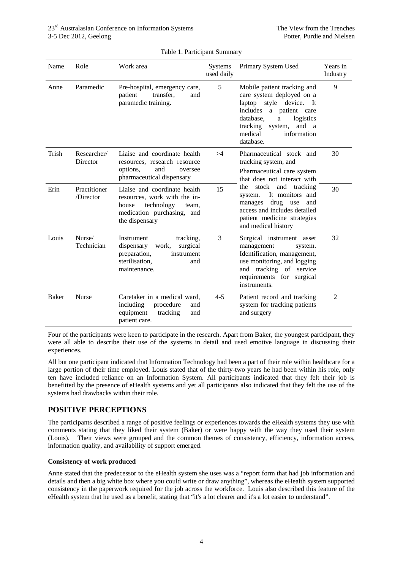| Name         | Role                      | Work area                                                                                                                                    | <b>Systems</b><br>used daily | Primary System Used                                                                                                                                                                                                     | Years in<br>Industry |
|--------------|---------------------------|----------------------------------------------------------------------------------------------------------------------------------------------|------------------------------|-------------------------------------------------------------------------------------------------------------------------------------------------------------------------------------------------------------------------|----------------------|
| Anne         | Paramedic                 | Pre-hospital, emergency care,<br>transfer,<br>patient<br>and<br>paramedic training.                                                          | 5                            | Mobile patient tracking and<br>care system deployed on a<br>laptop<br>style device. It<br>includes<br>a patient care<br>database,<br>logistics<br>a<br>tracking system,<br>and a<br>medical<br>information<br>database. | 9                    |
| Trish        | Researcher/<br>Director   | Liaise and coordinate health<br>resources, research resource<br>options,<br>and<br>oversee<br>pharmaceutical dispensary                      | >4                           | Pharmaceutical stock and<br>tracking system, and<br>Pharmaceutical care system<br>that does not interact with                                                                                                           | 30                   |
| Erin         | Practitioner<br>/Director | Liaise and coordinate health<br>resources, work with the in-<br>technology<br>house<br>team,<br>medication purchasing, and<br>the dispensary | 15                           | stock<br>and tracking<br>the<br>It monitors and<br>system.<br>drug<br>manages<br>use<br>and<br>access and includes detailed<br>patient medicine strategies<br>and medical history                                       | 30                   |
| Louis        | Nurse/<br>Technician      | Instrument<br>tracking,<br>dispensary<br>surgical<br>work,<br>preparation,<br>instrument<br>sterilisation,<br>and<br>maintenance.            | 3                            | Surgical instrument asset<br>management<br>system.<br>Identification, management,<br>use monitoring, and logging<br>and tracking of service<br>requirements for surgical<br>instruments.                                | 32                   |
| <b>Baker</b> | <b>Nurse</b>              | Caretaker in a medical ward.<br>including<br>procedure<br>and<br>equipment<br>tracking<br>and<br>patient care.                               | $4 - 5$                      | Patient record and tracking<br>system for tracking patients<br>and surgery                                                                                                                                              | 2                    |

#### Table 1. Participant Summary

Four of the participants were keen to participate in the research. Apart from Baker, the youngest participant, they were all able to describe their use of the systems in detail and used emotive language in discussing their experiences.

All but one participant indicated that Information Technology had been a part of their role within healthcare for a large portion of their time employed. Louis stated that of the thirty-two years he had been within his role, only ten have included reliance on an Information System. All participants indicated that they felt their job is benefitted by the presence of eHealth systems and yet all participants also indicated that they felt the use of the systems had drawbacks within their role.

## **POSITIVE PERCEPTIONS**

The participants described a range of positive feelings or experiences towards the eHealth systems they use with comments stating that they liked their system (Baker) or were happy with the way they used their system (Louis). Their views were grouped and the common themes of consistency, efficiency, information access, information quality, and availability of support emerged.

#### **Consistency of work produced**

Anne stated that the predecessor to the eHealth system she uses was a "report form that had job information and details and then a big white box where you could write or draw anything", whereas the eHealth system supported consistency in the paperwork required for the job across the workforce. Louis also described this feature of the eHealth system that he used as a benefit, stating that "it's a lot clearer and it's a lot easier to understand".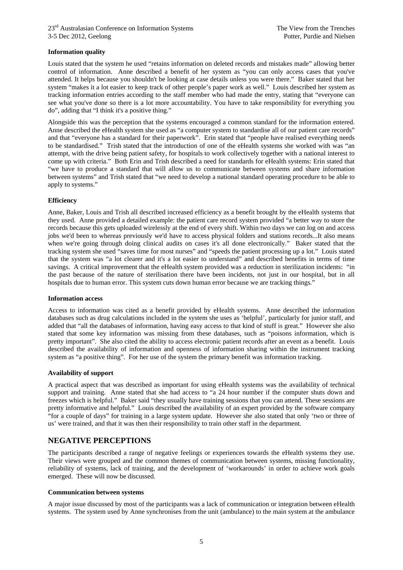#### **Information quality**

Louis stated that the system he used "retains information on deleted records and mistakes made" allowing better control of information. Anne described a benefit of her system as "you can only access cases that you've attended. It helps because you shouldn't be looking at case details unless you were there." Baker stated that her system "makes it a lot easier to keep track of other people's paper work as well." Louis described her system as tracking information entries according to the staff member who had made the entry, stating that "everyone can see what you've done so there is a lot more accountability. You have to take responsibility for everything you do", adding that "I think it's a positive thing."

Alongside this was the perception that the systems encouraged a common standard for the information entered. Anne described the eHealth system she used as "a computer system to standardise all of our patient care records" and that "everyone has a standard for their paperwork". Erin stated that "people have realised everything needs to be standardised." Trish stated that the introduction of one of the eHealth systems she worked with was "an attempt, with the drive being patient safety, for hospitals to work collectively together with a national interest to come up with criteria." Both Erin and Trish described a need for standards for eHealth systems: Erin stated that "we have to produce a standard that will allow us to communicate between systems and share information between systems" and Trish stated that "we need to develop a national standard operating procedure to be able to apply to systems."

#### **Efficiency**

Anne, Baker, Louis and Trish all described increased efficiency as a benefit brought by the eHealth systems that they used. Anne provided a detailed example: the patient care record system provided "a better way to store the records because this gets uploaded wirelessly at the end of every shift. Within two days we can log on and access jobs we'd been to whereas previously we'd have to access physical folders and stations records...It also means when we're going through doing clinical audits on cases it's all done electronically." Baker stated that the tracking system she used "saves time for most nurses" and "speeds the patient processing up a lot." Louis stated that the system was "a lot clearer and it's a lot easier to understand" and described benefits in terms of time savings. A critical improvement that the eHealth system provided was a reduction in sterilization incidents: "in the past because of the nature of sterilisation there have been incidents, not just in our hospital, but in all hospitals due to human error. This system cuts down human error because we are tracking things."

#### **Information access**

Access to information was cited as a benefit provided by eHealth systems. Anne described the information databases such as drug calculations included in the system she uses as 'helpful', particularly for junior staff, and added that "all the databases of information, having easy access to that kind of stuff is great." However she also stated that some key information was missing from these databases, such as "poisons information, which is pretty important". She also cited the ability to access electronic patient records after an event as a benefit. Louis described the availability of information and openness of information sharing within the instrument tracking system as "a positive thing". For her use of the system the primary benefit was information tracking.

#### **Availability of support**

A practical aspect that was described as important for using eHealth systems was the availability of technical support and training. Anne stated that she had access to "a 24 hour number if the computer shuts down and freezes which is helpful." Baker said "they usually have training sessions that you can attend. These sessions are pretty informative and helpful." Louis described the availability of an expert provided by the software company "for a couple of days" for training in a large system update. However she also stated that only 'two or three of us' were trained, and that it was then their responsibility to train other staff in the department.

#### **NEGATIVE PERCEPTIONS**

The participants described a range of negative feelings or experiences towards the eHealth systems they use. Their views were grouped and the common themes of communication between systems, missing functionality, reliability of systems, lack of training, and the development of 'workarounds' in order to achieve work goals emerged. These will now be discussed.

#### **Communication between systems**

A major issue discussed by most of the participants was a lack of communication or integration between eHealth systems. The system used by Anne synchronises from the unit (ambulance) to the main system at the ambulance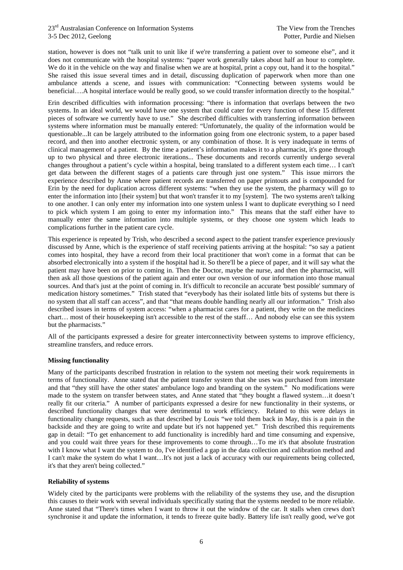station, however is does not "talk unit to unit like if we're transferring a patient over to someone else", and it does not communicate with the hospital systems: "paper work generally takes about half an hour to complete. We do it in the vehicle on the way and finalise when we are at hospital, print a copy out, hand it to the hospital." She raised this issue several times and in detail, discussing duplication of paperwork when more than one ambulance attends a scene, and issues with communication: "Connecting between systems would be beneficial….A hospital interface would be really good, so we could transfer information directly to the hospital."

Erin described difficulties with information processing: "there is information that overlaps between the two systems. In an ideal world, we would have one system that could cater for every function of these 15 different pieces of software we currently have to use." She described difficulties with transferring information between systems where information must be manually entered: "Unfortunately, the quality of the information would be questionable...It can be largely attributed to the information going from one electronic system, to a paper based record, and then into another electronic system, or any combination of those. It is very inadequate in terms of clinical management of a patient. By the time a patient's information makes it to a pharmacist, it's gone through up to two physical and three electronic iterations... These documents and records currently undergo several changes throughout a patient's cycle within a hospital, being translated to a different system each time… I can't get data between the different stages of a patients care through just one system." This issue mirrors the experience described by Anne where patient records are transferred on paper printouts and is compounded for Erin by the need for duplication across different systems: "when they use the system, the pharmacy will go to enter the information into [their system] but that won't transfer it to my [system]. The two systems aren't talking to one another. I can only enter my information into one system unless I want to duplicate everything so I need to pick which system I am going to enter my information into." This means that the staff either have to manually enter the same information into multiple systems, or they choose one system which leads to complications further in the patient care cycle.

This experience is repeated by Trish, who described a second aspect to the patient transfer experience previously discussed by Anne, which is the experience of staff receiving patients arriving at the hospital: "so say a patient comes into hospital, they have a record from their local practitioner that won't come in a format that can be absorbed electronically into a system if the hospital had it. So there'll be a piece of paper, and it will say what the patient may have been on prior to coming in. Then the Doctor, maybe the nurse, and then the pharmacist, will then ask all those questions of the patient again and enter our own version of our information into those manual sources. And that's just at the point of coming in. It's difficult to reconcile an accurate 'best possible' summary of medication history sometimes." Trish stated that "everybody has their isolated little bits of systems but there is no system that all staff can access", and that "that means double handling nearly all our information." Trish also described issues in terms of system access: "when a pharmacist cares for a patient, they write on the medicines chart… most of their housekeeping isn't accessible to the rest of the staff… And nobody else can see this system but the pharmacists."

All of the participants expressed a desire for greater interconnectivity between systems to improve efficiency, streamline transfers, and reduce errors.

#### **Missing functionality**

Many of the participants described frustration in relation to the system not meeting their work requirements in terms of functionality. Anne stated that the patient transfer system that she uses was purchased from interstate and that "they still have the other states' ambulance logo and branding on the system." No modifications were made to the system on transfer between states, and Anne stated that "they bought a flawed system…it doesn't really fit our criteria." A number of participants expressed a desire for new functionality in their systems, or described functionality changes that were detrimental to work efficiency. Related to this were delays in functionality change requests, such as that described by Louis "we told them back in May, this is a pain in the backside and they are going to write and update but it's not happened yet." Trish described this requirements gap in detail: "To get enhancement to add functionality is incredibly hard and time consuming and expensive, and you could wait three years for these improvements to come through…To me it's that absolute frustration with I know what I want the system to do, I've identified a gap in the data collection and calibration method and I can't make the system do what I want…It's not just a lack of accuracy with our requirements being collected, it's that they aren't being collected."

#### **Reliability of systems**

Widely cited by the participants were problems with the reliability of the systems they use, and the disruption this causes to their work with several individuals specifically stating that the systems needed to be more reliable. Anne stated that "There's times when I want to throw it out the window of the car. It stalls when crews don't synchronise it and update the information, it tends to freeze quite badly. Battery life isn't really good, we've got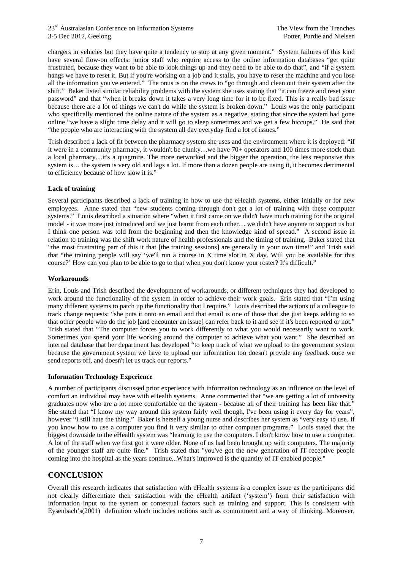chargers in vehicles but they have quite a tendency to stop at any given moment." System failures of this kind have several flow-on effects: junior staff who require access to the online information databases "get quite frustrated, because they want to be able to look things up and they need to be able to do that", and "if a system hangs we have to reset it. But if you're working on a job and it stalls, you have to reset the machine and you lose all the information you've entered." The onus is on the crews to "go through and clean out their system after the shift." Baker listed similar reliability problems with the system she uses stating that "it can freeze and reset your password" and that "when it breaks down it takes a very long time for it to be fixed. This is a really bad issue because there are a lot of things we can't do while the system is broken down." Louis was the only participant who specifically mentioned the online nature of the system as a negative, stating that since the system had gone online "we have a slight time delay and it will go to sleep sometimes and we get a few hiccups." He said that "the people who are interacting with the system all day everyday find a lot of issues."

Trish described a lack of fit between the pharmacy system she uses and the environment where it is deployed: "if it were in a community pharmacy, it wouldn't be clunky…we have 70+ operators and 100 times more stock than a local pharmacy…it's a quagmire. The more networked and the bigger the operation, the less responsive this system is… the system is very old and lags a lot. If more than a dozen people are using it, it becomes detrimental to efficiency because of how slow it is."

#### **Lack of training**

Several participants described a lack of training in how to use the eHealth systems, either initially or for new employees. Anne stated that "new students coming through don't get a lot of training with these computer systems." Louis described a situation where "when it first came on we didn't have much training for the original model - it was more just introduced and we just learnt from each other… we didn't have anyone to support us but I think one person was told from the beginning and then the knowledge kind of spread." A second issue in relation to training was the shift work nature of health professionals and the timing of training. Baker stated that "the most frustrating part of this it that [the training sessions] are generally in your own time!" and Trish said that "the training people will say 'we'll run a course in X time slot in X day. Will you be available for this course?' How can you plan to be able to go to that when you don't know your roster? It's difficult."

#### **Workarounds**

Erin, Louis and Trish described the development of workarounds, or different techniques they had developed to work around the functionality of the system in order to achieve their work goals. Erin stated that "I'm using many different systems to patch up the functionality that I require." Louis described the actions of a colleague to track change requests: "she puts it onto an email and that email is one of those that she just keeps adding to so that other people who do the job [and encounter an issue] can refer back to it and see if it's been reported or not." Trish stated that "The computer forces you to work differently to what you would necessarily want to work. Sometimes you spend your life working around the computer to achieve what you want." She described an internal database that her department has developed "to keep track of what we upload to the government system because the government system we have to upload our information too doesn't provide any feedback once we send reports off, and doesn't let us track our reports."

#### **Information Technology Experience**

A number of participants discussed prior experience with information technology as an influence on the level of comfort an individual may have with eHealth systems. Anne commented that "we are getting a lot of university graduates now who are a lot more comfortable on the system - because all of their training has been like that." She stated that "I know my way around this system fairly well though, I've been using it every day for years", however "I still hate the thing." Baker is herself a young nurse and describes her system as "very easy to use. If you know how to use a computer you find it very similar to other computer programs." Louis stated that the biggest downside to the eHealth system was "learning to use the computers. I don't know how to use a computer. A lot of the staff when we first got it were older. None of us had been brought up with computers. The majority of the younger staff are quite fine." Trish stated that "you've got the new generation of IT receptive people coming into the hospital as the years continue...What's improved is the quantity of IT enabled people."

## **CONCLUSION**

Overall this research indicates that satisfaction with eHealth systems is a complex issue as the participants did not clearly differentiate their satisfaction with the eHealth artifact ('system') from their satisfaction with information input to the system or contextual factors such as training and support. This is consistent with Eysenbach's(2001) definition which includes notions such as commitment and a way of thinking. Moreover,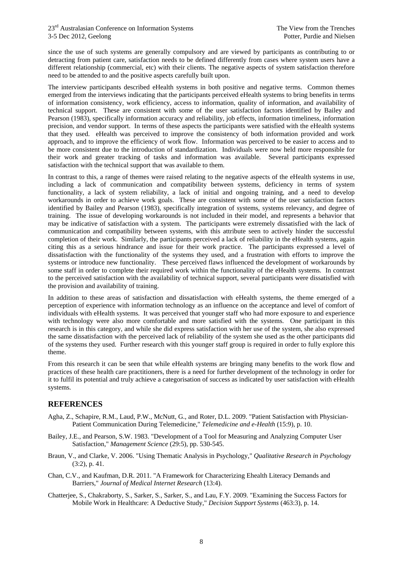since the use of such systems are generally compulsory and are viewed by participants as contributing to or detracting from patient care, satisfaction needs to be defined differently from cases where system users have a different relationship (commercial, etc) with their clients. The negative aspects of system satisfaction therefore need to be attended to and the positive aspects carefully built upon.

The interview participants described eHealth systems in both positive and negative terms. Common themes emerged from the interviews indicating that the participants perceived eHealth systems to bring benefits in terms of information consistency, work efficiency, access to information, quality of information, and availability of technical support. These are consistent with some of the user satisfaction factors identified by Bailey and Pearson (1983), specifically information accuracy and reliability, job effects, information timeliness, information precision, and vendor support. In terms of these aspects the participants were satisfied with the eHealth systems that they used. eHealth was perceived to improve the consistency of both information provided and work approach, and to improve the efficiency of work flow. Information was perceived to be easier to access and to be more consistent due to the introduction of standardization. Individuals were now held more responsible for their work and greater tracking of tasks and information was available. Several participants expressed satisfaction with the technical support that was available to them.

In contrast to this, a range of themes were raised relating to the negative aspects of the eHealth systems in use, including a lack of communication and compatibility between systems, deficiency in terms of system functionality, a lack of system reliability, a lack of initial and ongoing training, and a need to develop workarounds in order to achieve work goals. These are consistent with some of the user satisfaction factors identified by Bailey and Pearson (1983), specifically integration of systems, systems relevancy, and degree of training. The issue of developing workarounds is not included in their model, and represents a behavior that may be indicative of satisfaction with a system. The participants were extremely dissatisfied with the lack of communication and compatibility between systems, with this attribute seen to actively hinder the successful completion of their work. Similarly, the participants perceived a lack of reliability in the eHealth systems, again citing this as a serious hindrance and issue for their work practice. The participants expressed a level of dissatisfaction with the functionality of the systems they used, and a frustration with efforts to improve the systems or introduce new functionality. These perceived flaws influenced the development of workarounds by some staff in order to complete their required work within the functionality of the eHealth systems. In contrast to the perceived satisfaction with the availability of technical support, several participants were dissatisfied with the provision and availability of training.

In addition to these areas of satisfaction and dissatisfaction with eHealth systems, the theme emerged of a perception of experience with information technology as an influence on the acceptance and level of comfort of individuals with eHealth systems. It was perceived that younger staff who had more exposure to and experience with technology were also more comfortable and more satisfied with the systems. One participant in this research is in this category, and while she did express satisfaction with her use of the system, she also expressed the same dissatisfaction with the perceived lack of reliability of the system she used as the other participants did of the systems they used. Further research with this younger staff group is required in order to fully explore this theme.

From this research it can be seen that while eHealth systems are bringing many benefits to the work flow and practices of these health care practitioners, there is a need for further development of the technology in order for it to fulfil its potential and truly achieve a categorisation of success as indicated by user satisfaction with eHealth systems.

## **REFERENCES**

- Agha, Z., Schapire, R.M., Laud, P.W., McNutt, G., and Roter, D.L. 2009. "Patient Satisfaction with Physician-Patient Communication During Telemedicine," *Telemedicine and e-Health* (15:9), p. 10.
- Bailey, J.E., and Pearson, S.W. 1983. "Development of a Tool for Measuring and Analyzing Computer User Satisfaction," *Management Science* (29:5), pp. 530-545.
- Braun, V., and Clarke, V. 2006. "Using Thematic Analysis in Psychology," *Qualitative Research in Psychology* (3:2), p. 41.
- Chan, C.V., and Kaufman, D.R. 2011. "A Framework for Characterizing Ehealth Literacy Demands and Barriers," *Journal of Medical Internet Research* (13:4).
- Chatterjee, S., Chakraborty, S., Sarker, S., Sarker, S., and Lau, F.Y. 2009. "Examining the Success Factors for Mobile Work in Healthcare: A Deductive Study," *Decision Support Systems* (463:3), p. 14.